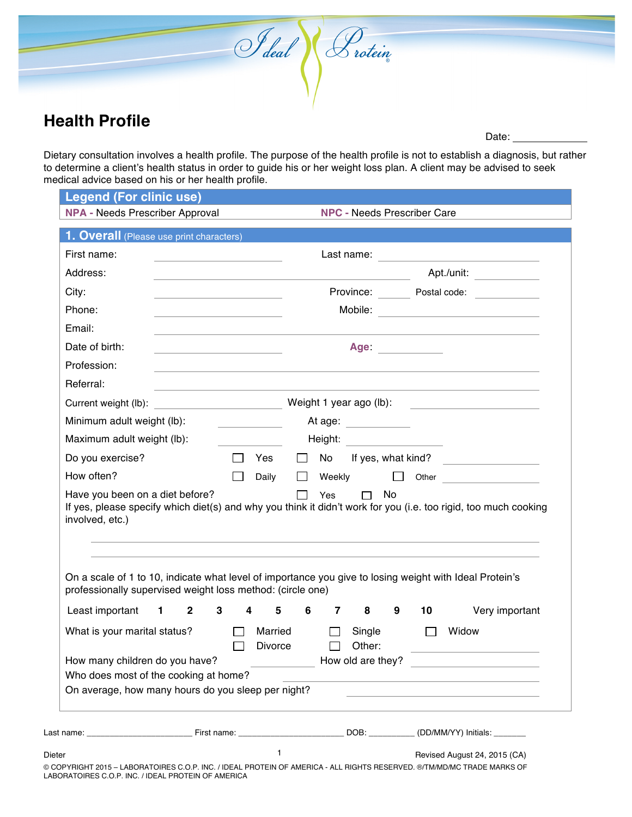## **Health Profile**

Date:

Dietary consultation involves a health profile. The purpose of the health profile is not to establish a diagnosis, but rather to determine a client's health status in order to guide his or her weight loss plan. A client may be advised to seek medical advice based on his or her health profile.

I deal (Protein

|                                                                                                                                                                                                                                                    | <b>NPA - Needs Prescriber Approval</b> |  |               | <b>NPC - Needs Prescriber Care</b> |             |                       |                   |           |                                                                                                                     |                                                                                                                 |
|----------------------------------------------------------------------------------------------------------------------------------------------------------------------------------------------------------------------------------------------------|----------------------------------------|--|---------------|------------------------------------|-------------|-----------------------|-------------------|-----------|---------------------------------------------------------------------------------------------------------------------|-----------------------------------------------------------------------------------------------------------------|
| 1. <b>Overall</b> (Please use print characters)                                                                                                                                                                                                    |                                        |  |               |                                    |             |                       |                   |           |                                                                                                                     |                                                                                                                 |
| First name:                                                                                                                                                                                                                                        |                                        |  |               |                                    |             |                       |                   |           |                                                                                                                     | Last name:                                                                                                      |
| Address:                                                                                                                                                                                                                                           |                                        |  |               |                                    |             |                       |                   |           | Apt./unit:                                                                                                          |                                                                                                                 |
| City:                                                                                                                                                                                                                                              |                                        |  |               |                                    |             |                       |                   |           |                                                                                                                     | Province: Postal code: Department                                                                               |
| Phone:                                                                                                                                                                                                                                             |                                        |  |               |                                    |             |                       |                   |           |                                                                                                                     |                                                                                                                 |
| Email:                                                                                                                                                                                                                                             |                                        |  |               |                                    |             |                       |                   |           |                                                                                                                     |                                                                                                                 |
| Date of birth:                                                                                                                                                                                                                                     |                                        |  |               |                                    |             |                       |                   |           | Age: __________                                                                                                     |                                                                                                                 |
| Profession:                                                                                                                                                                                                                                        |                                        |  |               |                                    |             |                       |                   |           |                                                                                                                     |                                                                                                                 |
| Referral:                                                                                                                                                                                                                                          |                                        |  |               |                                    |             |                       |                   |           |                                                                                                                     |                                                                                                                 |
|                                                                                                                                                                                                                                                    |                                        |  |               |                                    |             |                       |                   |           |                                                                                                                     |                                                                                                                 |
| Minimum adult weight (lb):                                                                                                                                                                                                                         |                                        |  |               |                                    |             | At age: ____________  |                   |           |                                                                                                                     |                                                                                                                 |
| Maximum adult weight (lb):                                                                                                                                                                                                                         |                                        |  |               |                                    |             |                       |                   |           | Height: Network of the Manuscript of the Manuscript of the Manuscript of the Manuscript of the Manuscript of the Ma |                                                                                                                 |
| Do you exercise?                                                                                                                                                                                                                                   |                                        |  | $\mathcal{L}$ | Yes                                |             |                       |                   |           |                                                                                                                     | $\Box$ No If yes, what kind?                                                                                    |
| How often?                                                                                                                                                                                                                                         |                                        |  | $\Box$        | Daily                              |             |                       |                   |           |                                                                                                                     | $\Box$ Weekly $\Box$ Other                                                                                      |
|                                                                                                                                                                                                                                                    |                                        |  |               |                                    | $\Box$      | Yes                   |                   | $\Box$ No |                                                                                                                     |                                                                                                                 |
|                                                                                                                                                                                                                                                    |                                        |  |               |                                    |             |                       |                   |           |                                                                                                                     | If yes, please specify which diet(s) and why you think it didn't work for you (i.e. too rigid, too much cooking |
| Have you been on a diet before?<br>involved, etc.)<br>On a scale of 1 to 10, indicate what level of importance you give to losing weight with Ideal Protein's<br>professionally supervised weight loss method: (circle one)<br>Least important 1 2 |                                        |  | $3^{\circ}$   | $\overline{4}$                     | $5^{\circ}$ | $6 \qquad 7 \qquad 8$ |                   | 9         | 10                                                                                                                  | Very important                                                                                                  |
|                                                                                                                                                                                                                                                    |                                        |  | $\Box$        | Married<br>Divorce                 |             | $\Box$                | Single<br>Other:  |           | $\mathbf{I}$                                                                                                        | Widow                                                                                                           |
| What is your marital status?<br>How many children do you have?<br>Who does most of the cooking at home?                                                                                                                                            |                                        |  |               |                                    |             |                       | How old are they? |           |                                                                                                                     |                                                                                                                 |
| On average, how many hours do you sleep per night?                                                                                                                                                                                                 |                                        |  |               |                                    |             |                       |                   |           |                                                                                                                     |                                                                                                                 |
| Last name: the contract of the contract of First name: the contract of the contract of the contract of the contract of the contract of the contract of the contract of the contract of the contract of the contract of the con                     |                                        |  |               |                                    |             |                       |                   |           |                                                                                                                     | DOB: __________(DD/MM/YY) Initials: _______                                                                     |

© COPYRIGHT 2015 – LABORATOIRES C.O.P. INC. / IDEAL PROTEIN OF AMERICA - ALL RIGHTS RESERVED. ®/TM/MD/MC TRADE MARKS OF LABORATOIRES C.O.P. INC. / IDEAL PROTEIN OF AMERICA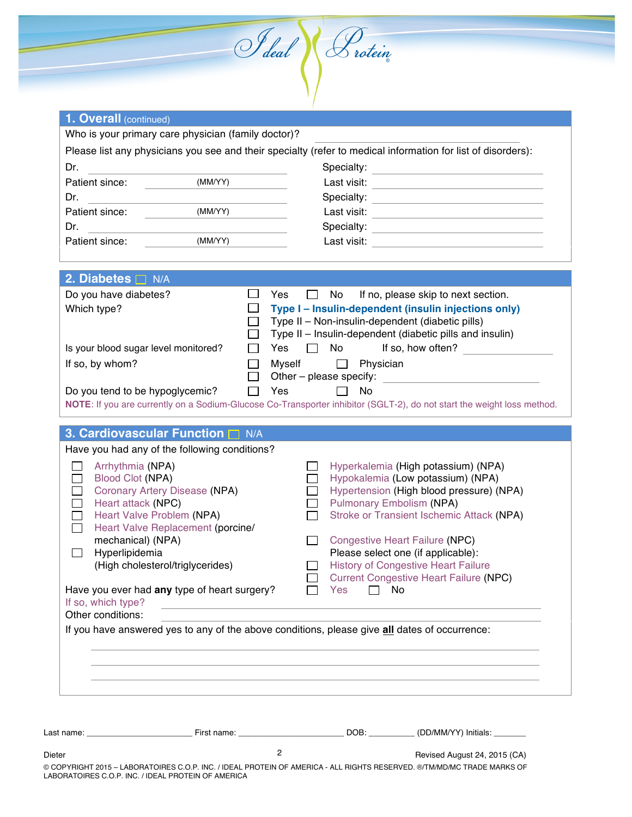| Who is your primary care physician (family doctor)?                                                                         |                      |                                                                                                                                                                                                                                      |  |
|-----------------------------------------------------------------------------------------------------------------------------|----------------------|--------------------------------------------------------------------------------------------------------------------------------------------------------------------------------------------------------------------------------------|--|
|                                                                                                                             |                      | Please list any physicians you see and their specialty (refer to medical information for list of disorders):                                                                                                                         |  |
| Dr.<br><u> 1980 - Johann Barn, mars ann an t-Amhain Aonaich an t-Aonaich an t-Aonaich ann an t-Aonaich ann an t-Aonaich</u> |                      |                                                                                                                                                                                                                                      |  |
| Patient since: (MM/YY)<br>Dr.                                                                                               |                      | Last visit: _________________________________                                                                                                                                                                                        |  |
| Patient since: (MM/YY)                                                                                                      |                      |                                                                                                                                                                                                                                      |  |
|                                                                                                                             |                      |                                                                                                                                                                                                                                      |  |
| (MM/YY)<br>Patient since:                                                                                                   |                      | Last visit: _________________________________                                                                                                                                                                                        |  |
|                                                                                                                             |                      |                                                                                                                                                                                                                                      |  |
| 2. Diabetes $\Box$ N/A                                                                                                      |                      |                                                                                                                                                                                                                                      |  |
| Do you have diabetes?                                                                                                       | $\Box$<br>Yes        | $\Box$ No<br>If no, please skip to next section.                                                                                                                                                                                     |  |
| Which type?                                                                                                                 | $\mathsf{L}$         | Type I - Insulin-dependent (insulin injections only)<br>Type II - Non-insulin-dependent (diabetic pills)                                                                                                                             |  |
|                                                                                                                             | $\Box$               | Type II - Insulin-dependent (diabetic pills and insulin)                                                                                                                                                                             |  |
| Is your blood sugar level monitored?                                                                                        | $\Box$               | Yes □ No If so, how often?                                                                                                                                                                                                           |  |
| If so, by whom?                                                                                                             | $\Box$               | Myself <sup>1</sup> Physician                                                                                                                                                                                                        |  |
|                                                                                                                             | $\Box$               | Other - please specify: <u>contained a set of the set of the set of the set of the set of the set of the set of the set of the set of the set of the set of the set of the set of the set of the set of the set of the set of th</u> |  |
| Do you tend to be hypoglycemic?                                                                                             | $\Box$ Yes $\Box$ No |                                                                                                                                                                                                                                      |  |
|                                                                                                                             |                      | NOTE: If you are currently on a Sodium-Glucose Co-Transporter inhibitor (SGLT-2), do not start the weight loss method.                                                                                                               |  |
| 3. Cardiovascular Function I N/A                                                                                            |                      |                                                                                                                                                                                                                                      |  |
| Have you had any of the following conditions?                                                                               |                      |                                                                                                                                                                                                                                      |  |
| Arrhythmia (NPA)                                                                                                            |                      | Hyperkalemia (High potassium) (NPA)                                                                                                                                                                                                  |  |
| Blood Clot (NPA)                                                                                                            |                      | Hypokalemia (Low potassium) (NPA)                                                                                                                                                                                                    |  |
| Coronary Artery Disease (NPA)                                                                                               |                      | Hypertension (High blood pressure) (NPA)                                                                                                                                                                                             |  |
| Heart attack (NPC)<br>Heart Valve Problem (NPA)                                                                             |                      | <b>Pulmonary Embolism (NPA)</b><br>Stroke or Transient Ischemic Attack (NPA)                                                                                                                                                         |  |
| Heart Valve Replacement (porcine/                                                                                           |                      |                                                                                                                                                                                                                                      |  |
| mechanical) (NPA)                                                                                                           |                      | <b>Congestive Heart Failure (NPC)</b>                                                                                                                                                                                                |  |
| Hyperlipidemia                                                                                                              |                      | Please select one (if applicable):                                                                                                                                                                                                   |  |
| (High cholesterol/triglycerides)                                                                                            |                      | <b>History of Congestive Heart Failure</b><br><b>Current Congestive Heart Failure (NPC)</b>                                                                                                                                          |  |
| Have you ever had any type of heart surgery?                                                                                |                      | Yes<br>No                                                                                                                                                                                                                            |  |
| If so, which type?                                                                                                          |                      | <u> 1989 - Johann Stoff, amerikansk politiker (d. 1989)</u>                                                                                                                                                                          |  |
| Other conditions:                                                                                                           |                      |                                                                                                                                                                                                                                      |  |
| If you have answered yes to any of the above conditions, please give all dates of occurrence:                               |                      |                                                                                                                                                                                                                                      |  |
|                                                                                                                             |                      |                                                                                                                                                                                                                                      |  |
|                                                                                                                             |                      |                                                                                                                                                                                                                                      |  |
|                                                                                                                             |                      |                                                                                                                                                                                                                                      |  |

Dieter **Dieter** 2 **CAUGUST 24, 2015 (CAUGUST 26)** © COPYRIGHT 2015 – LABORATOIRES C.O.P. INC. / IDEAL PROTEIN OF AMERICA - ALL RIGHTS RESERVED. ®/TM/MD/MC TRADE MARKS OF LABORATOIRES C.O.P. INC. / IDEAL PROTEIN OF AMERICA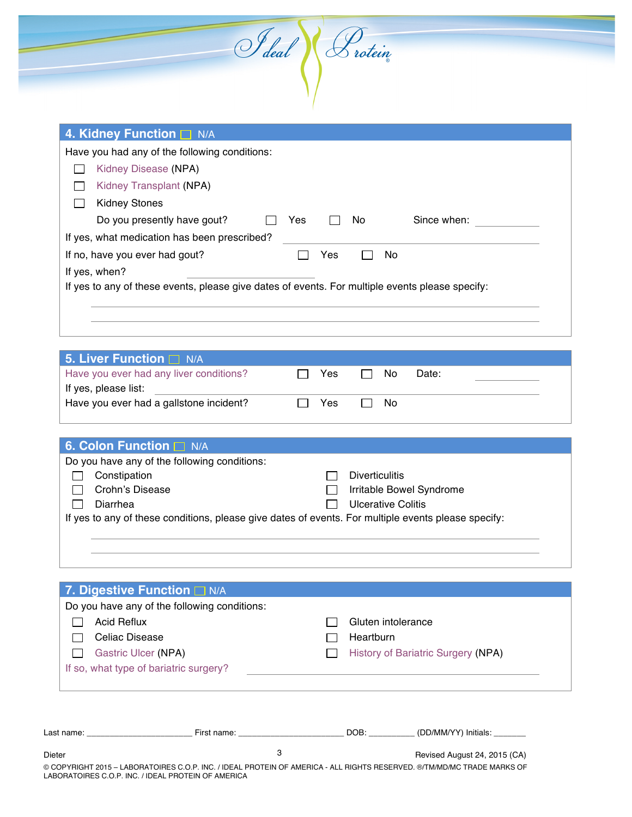|                                      |  | S deal & rotein |  |
|--------------------------------------|--|-----------------|--|
|                                      |  |                 |  |
| $\Lambda$ Kidney Function $\Box$ N/A |  |                 |  |

| <b>T. KIUTICY LUITULIUIL</b> IVA                                                                |
|-------------------------------------------------------------------------------------------------|
| Have you had any of the following conditions:                                                   |
| Kidney Disease (NPA)                                                                            |
| Kidney Transplant (NPA)                                                                         |
| <b>Kidney Stones</b>                                                                            |
| Do you presently have gout?<br>Since when:<br>No.<br>Yes                                        |
| If yes, what medication has been prescribed?                                                    |
| If no, have you ever had gout?<br>No<br>Yes                                                     |
| If yes, when?                                                                                   |
| If yes to any of these events, please give dates of events. For multiple events please specify: |

|  | No.              | Date: |  |
|--|------------------|-------|--|
|  |                  |       |  |
|  | - No             |       |  |
|  | □ Yes<br>. ∃ Yes |       |  |

| <b>6. Colon Function N/A</b>                                                                        |                           |
|-----------------------------------------------------------------------------------------------------|---------------------------|
| Do you have any of the following conditions:                                                        |                           |
| Constipation                                                                                        | <b>Diverticulitis</b>     |
| Crohn's Disease                                                                                     | Irritable Bowel Syndrome  |
| Diarrhea                                                                                            | <b>Ulcerative Colitis</b> |
| If yes to any of these conditions, please give dates of events. For multiple events please specify: |                           |
|                                                                                                     |                           |
|                                                                                                     |                           |

|                                        | Do you have any of the following conditions: |                    |                                    |
|----------------------------------------|----------------------------------------------|--------------------|------------------------------------|
| <b>Acid Reflux</b>                     |                                              | Gluten intolerance |                                    |
| Celiac Disease                         |                                              | Heartburn          |                                    |
| Gastric Ulcer (NPA)                    |                                              |                    | History of Bariatric Surgery (NPA) |
| If so, what type of bariatric surgery? |                                              |                    |                                    |
|                                        |                                              |                    |                                    |
|                                        |                                              |                    | DOB:<br>(DD/MM/YY) Initials:       |

3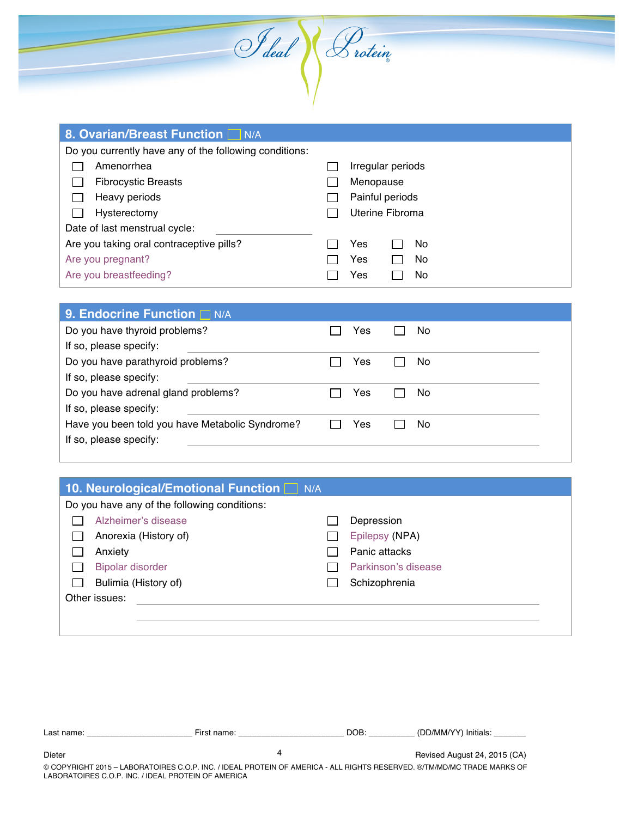| <b>8. Ovarian/Breast Function N/A</b>                  |                   |
|--------------------------------------------------------|-------------------|
| Do you currently have any of the following conditions: |                   |
| Amenorrhea                                             | Irregular periods |
| <b>Fibrocystic Breasts</b>                             | Menopause         |
| Heavy periods                                          | Painful periods   |
| Hysterectomy                                           | Uterine Fibroma   |
| Date of last menstrual cycle:                          |                   |
| Are you taking oral contraceptive pills?               | Yes<br>No         |
| Are you pregnant?                                      | Yes<br>No         |
| Are you breastfeeding?                                 | No<br>Yes         |

I deal Protein

| 9. Endocrine Function I N/A                     |     |     |
|-------------------------------------------------|-----|-----|
| Do you have thyroid problems?                   | Yes | No. |
| If so, please specify:                          |     |     |
| Do you have parathyroid problems?               | Yes | No. |
| If so, please specify:                          |     |     |
| Do you have adrenal gland problems?             | Yes | No. |
| If so, please specify:                          |     |     |
| Have you been told you have Metabolic Syndrome? | Yes | Nο  |
| If so, please specify:                          |     |     |
|                                                 |     |     |

| 10. Neurological/Emotional Function N/A      |                     |
|----------------------------------------------|---------------------|
| Do you have any of the following conditions: |                     |
| Alzheimer's disease                          | Depression          |
| Anorexia (History of)                        | Epilepsy (NPA)      |
| Anxiety                                      | Panic attacks       |
| <b>Bipolar disorder</b>                      | Parkinson's disease |
| Bulimia (History of)                         | Schizophrenia       |
| Other issues:                                |                     |
|                                              |                     |
|                                              |                     |

| Last name:    | First name:                                                                                                                                    | DOB. | (DD/MM/YY) Initials:         |
|---------------|------------------------------------------------------------------------------------------------------------------------------------------------|------|------------------------------|
| <b>Dieter</b> |                                                                                                                                                |      | Revised August 24, 2015 (CA) |
|               | $\hat{a}$ convinicity on $\epsilon$ , independence of a individual decorational conviction of a transmitter $\hat{a}$ transmitted of $\hat{a}$ |      |                              |

© COPYRIGHT 2015 – LABORATOIRES C.O.P. INC. / IDEAL PROTEIN OF AMERICA - ALL RIGHTS RESERVED. ®/TM/MD/MC TRADE MARKS OF LABORATOIRES C.O.P. INC. / IDEAL PROTEIN OF AMERICA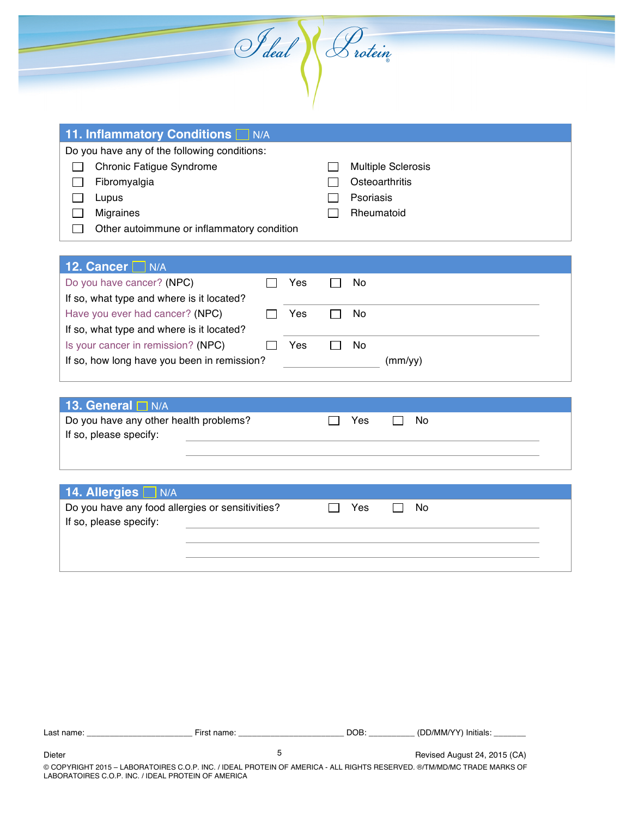|  | S deal \ & rotein |  |
|--|-------------------|--|
|  |                   |  |

| <b>11. Inflammatory Conditions</b> N/A       |                           |
|----------------------------------------------|---------------------------|
| Do you have any of the following conditions: |                           |
| <b>Chronic Fatigue Syndrome</b>              | <b>Multiple Sclerosis</b> |
| Fibromyalgia                                 | Osteoarthritis            |
| Lupus                                        | <b>Psoriasis</b>          |
| <b>Migraines</b>                             | Rheumatoid                |
| Other autoimmune or inflammatory condition   |                           |

| 12. Cancer N/A                              |  |     |  |     |         |  |
|---------------------------------------------|--|-----|--|-----|---------|--|
| Do you have cancer? (NPC)                   |  | Yes |  | No. |         |  |
| If so, what type and where is it located?   |  |     |  |     |         |  |
| Have you ever had cancer? (NPC)             |  | Yes |  | No  |         |  |
| If so, what type and where is it located?   |  |     |  |     |         |  |
| Is your cancer in remission? (NPC)          |  | Yes |  | No  |         |  |
| If so, how long have you been in remission? |  |     |  |     | (mm/vv) |  |

| 13. General $\Box$ N/A                 |     |      |  |
|----------------------------------------|-----|------|--|
| Do you have any other health problems? | Yes | – No |  |
| If so, please specify:                 |     |      |  |
|                                        |     |      |  |

## **14. Allergies**  $\Box$  N/A

| Do you have any food allergies or sensitivities? |  | Yes. | No. |  |
|--------------------------------------------------|--|------|-----|--|
| If so, please specify:                           |  |      |     |  |
|                                                  |  |      |     |  |
|                                                  |  |      |     |  |
|                                                  |  |      |     |  |

| Last name: | First name: | DOB: | (DD/MM/YY) Initials:         |
|------------|-------------|------|------------------------------|
| Dieter     |             |      | Revised August 24, 2015 (CA) |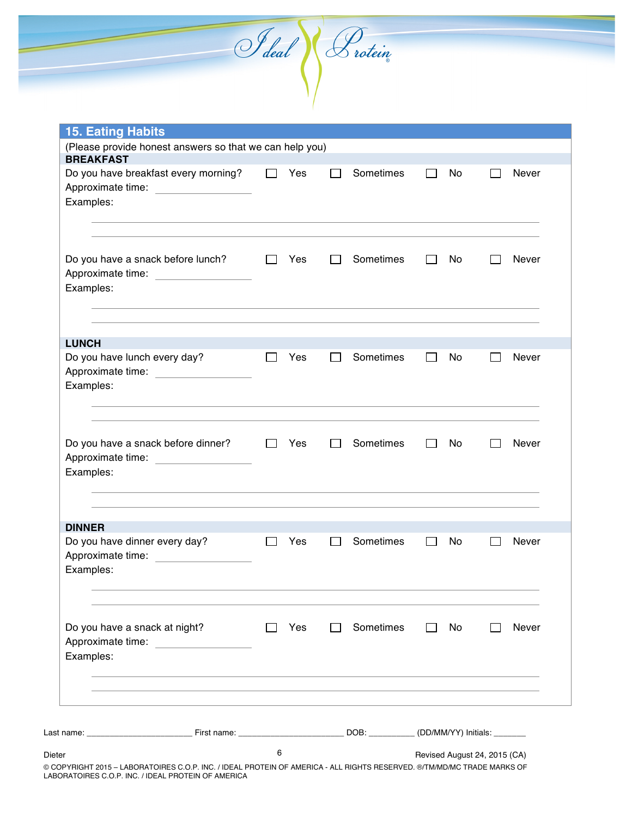Last name: \_\_\_\_\_\_\_\_\_\_\_\_\_\_\_\_\_\_\_\_\_\_\_ First name: \_\_\_\_\_\_\_\_\_\_\_\_\_\_\_\_\_\_\_\_\_\_\_ DOB: \_\_\_\_\_\_\_\_\_\_ (DD/MM/YY) Initials: \_\_\_\_\_\_\_ Dieter Revised August 24, 2015 (CA) 6 **15. Eating Habits** (Please provide honest answers so that we can help you) **BREAKFAST** Do you have breakfast every morning?  $\square$  Yes  $\square$  Sometimes  $\square$  No  $\square$  Never Approximate time: Examples: Do you have a snack before lunch?  $\Box$  Yes  $\Box$  Sometimes  $\Box$  No  $\Box$  Never Approximate time: Examples: **LUNCH** Do you have lunch every day?  $\Box$  Yes  $\Box$  Sometimes  $\Box$  No  $\Box$  Never Approximate time: Examples: Do you have a snack before dinner?  $\Box$  Yes  $\Box$  Sometimes  $\Box$  No  $\Box$  Never Approximate time: Examples: **DINNER** Do you have dinner every day?  $\Box$  Yes  $\Box$  Sometimes  $\Box$  No  $\Box$  Never Approximate time: Examples: Do you have a snack at night?  $\Box$  Yes  $\Box$  Sometimes  $\Box$  No  $\Box$  Never Approximate time: Examples:

I deal & rotein

© COPYRIGHT 2015 – LABORATOIRES C.O.P. INC. / IDEAL PROTEIN OF AMERICA - ALL RIGHTS RESERVED. ®/TM/MD/MC TRADE MARKS OF LABORATOIRES C.O.P. INC. / IDEAL PROTEIN OF AMERICA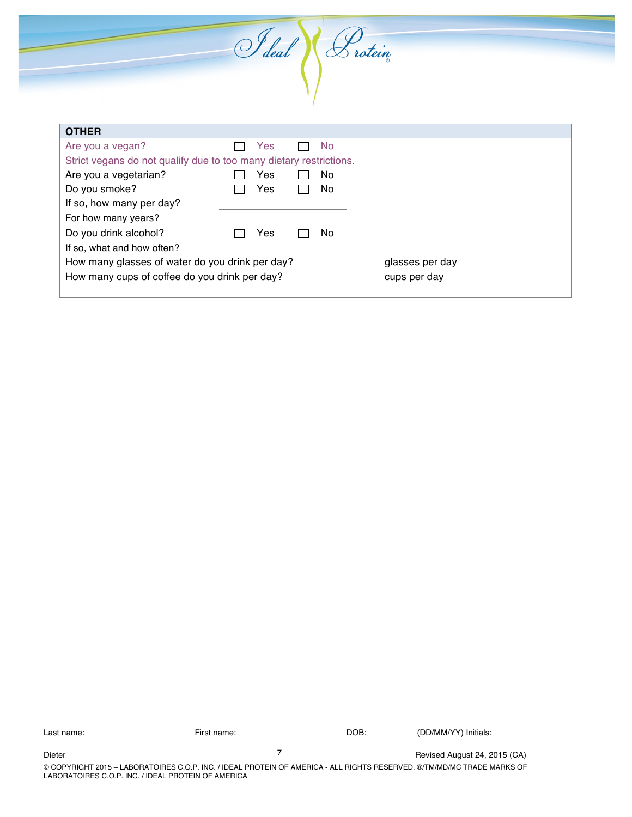I deal Crotein **OTHER** Are you a vegan? The Mondon State State State State State State State State State State State State State State Strict vegans do not qualify due to too many dietary restrictions. Are you a vegetarian?  $\Box$  Yes  $\Box$  No Do you smoke? <br> The Sea No If so, how many per day?

For how many years?

If so, what and how often?

Do you drink alcohol? □ Yes □ No

How many glasses of water do you drink per day? The many glasses per day How many cups of coffee do you drink per day? cups per day

Last name: \_\_\_\_\_\_\_\_\_\_\_\_\_\_\_\_\_\_\_\_\_\_\_ First name: \_\_\_\_\_\_\_\_\_\_\_\_\_\_\_\_\_\_\_\_\_\_\_ DOB: \_\_\_\_\_\_\_\_\_\_ (DD/MM/YY) Initials: \_\_\_\_\_\_\_ 7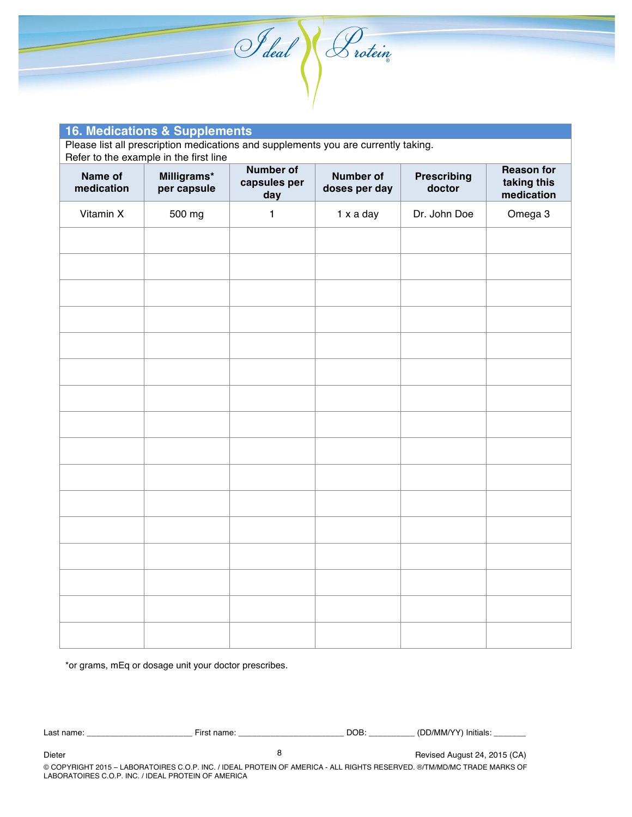

| <b>16. Medications &amp; Supplements</b>                                                                                     |                            |                                         |                                   |                              |                                                |  |  |  |
|------------------------------------------------------------------------------------------------------------------------------|----------------------------|-----------------------------------------|-----------------------------------|------------------------------|------------------------------------------------|--|--|--|
| Please list all prescription medications and supplements you are currently taking.<br>Refer to the example in the first line |                            |                                         |                                   |                              |                                                |  |  |  |
| Name of<br>medication                                                                                                        | Milligrams*<br>per capsule | <b>Number of</b><br>capsules per<br>day | <b>Number of</b><br>doses per day | <b>Prescribing</b><br>doctor | <b>Reason for</b><br>taking this<br>medication |  |  |  |
| Vitamin X                                                                                                                    | 500 mg                     | 1                                       | 1 x a day                         | Dr. John Doe                 | Omega 3                                        |  |  |  |
|                                                                                                                              |                            |                                         |                                   |                              |                                                |  |  |  |
|                                                                                                                              |                            |                                         |                                   |                              |                                                |  |  |  |
|                                                                                                                              |                            |                                         |                                   |                              |                                                |  |  |  |
|                                                                                                                              |                            |                                         |                                   |                              |                                                |  |  |  |
|                                                                                                                              |                            |                                         |                                   |                              |                                                |  |  |  |
|                                                                                                                              |                            |                                         |                                   |                              |                                                |  |  |  |
|                                                                                                                              |                            |                                         |                                   |                              |                                                |  |  |  |
|                                                                                                                              |                            |                                         |                                   |                              |                                                |  |  |  |
|                                                                                                                              |                            |                                         |                                   |                              |                                                |  |  |  |
|                                                                                                                              |                            |                                         |                                   |                              |                                                |  |  |  |
|                                                                                                                              |                            |                                         |                                   |                              |                                                |  |  |  |
|                                                                                                                              |                            |                                         |                                   |                              |                                                |  |  |  |
|                                                                                                                              |                            |                                         |                                   |                              |                                                |  |  |  |
|                                                                                                                              |                            |                                         |                                   |                              |                                                |  |  |  |
|                                                                                                                              |                            |                                         |                                   |                              |                                                |  |  |  |
|                                                                                                                              |                            |                                         |                                   |                              |                                                |  |  |  |
|                                                                                                                              |                            |                                         |                                   |                              |                                                |  |  |  |

\*or grams, mEq or dosage unit your doctor prescribes.

| ∩ame<br>name<br>∟ast∴<br>$-150$<br>-<br>_ _ _ _ _ | DOB: | .<br>Initials<br>'/MM <sub>/</sub> |
|---------------------------------------------------|------|------------------------------------|
|---------------------------------------------------|------|------------------------------------|

8